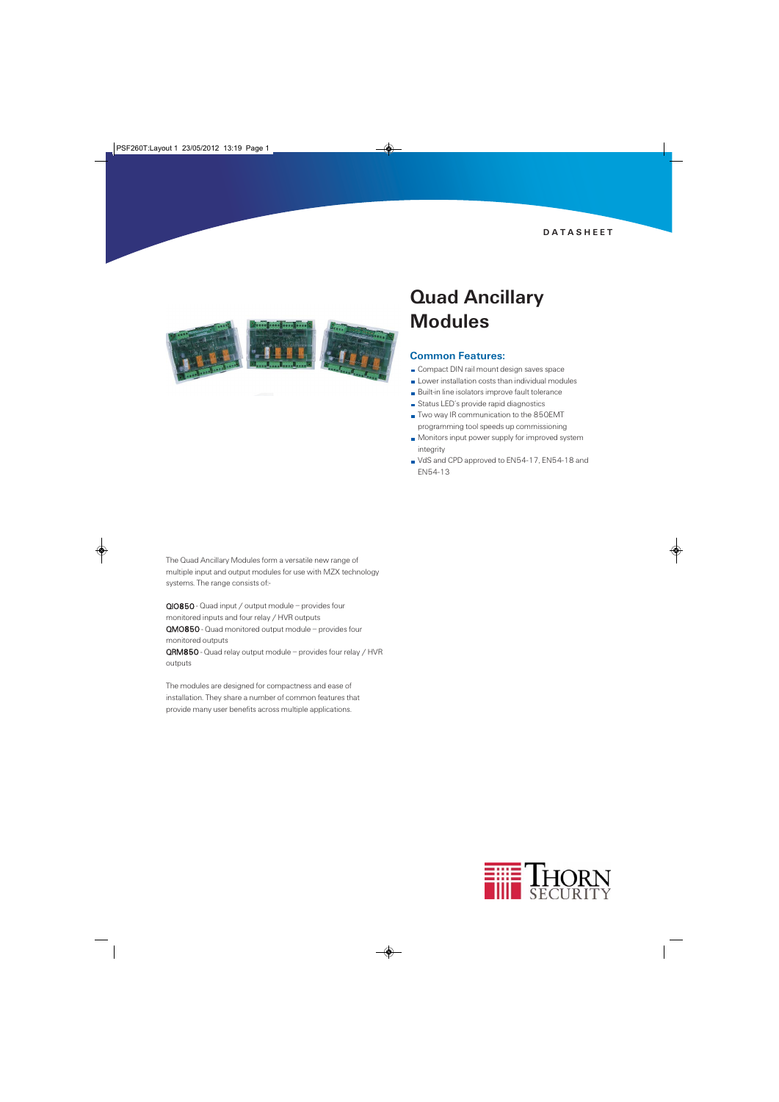DATASHEET



# Quad Ancillary **Modules**

### Common Features:

- Compact DIN rail mount design saves space
- Lower installation costs than individual modules
- Built-in line isolators improve fault tolerance
- Status LED's provide rapid diagnostics
- Two way IR communication to the 850EMT programming tool speeds up commissioning
- **Monitors input power supply for improved system** integrity
- VdS and CPD approved to EN54-17, EN54-18 and EN54-13

The Quad Ancillary Modules form a versatile new range of multiple input and output modules for use with MZX technology systems. The range consists of:-

QIO850 - Quad input / output module – provides four monitored inputs and four relay / HVR outputs QMO850 - Quad monitored output module – provides four monitored outputs

QRM850 - Quad relay output module – provides four relay / HVR outputs

The modules are designed for compactness and ease of installation. They share a number of common features that provide many user benefits across multiple applications.

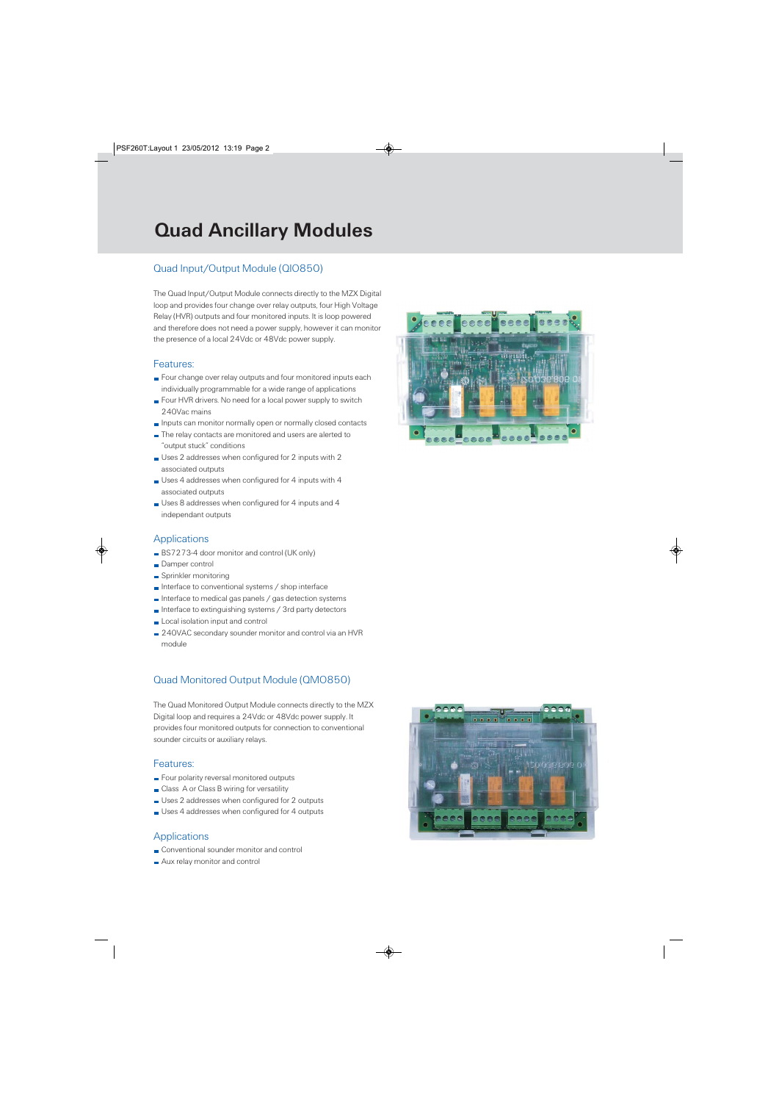# Quad Ancillary Modules

### Quad Input/Output Module (QIO850)

The Quad Input/Output Module connects directly to the MZX Digital loop and provides four change over relay outputs, four High Voltage Relay (HVR) outputs and four monitored inputs. It is loop powered and therefore does not need a power supply, however it can monitor the presence of a local 24Vdc or 48Vdc power supply.

### Features:

- Four change over relay outputs and four monitored inputs each individually programmable for a wide range of applications
- Four HVR drivers. No need for a local power supply to switch 240Vac mains
- **Inputs can monitor normally open or normally closed contacts**
- The relay contacts are monitored and users are alerted to "output stuck" conditions
- Uses 2 addresses when configured for 2 inputs with 2 associated outputs
- Uses 4 addresses when configured for 4 inputs with 4 associated outputs
- Uses 8 addresses when configured for 4 inputs and 4 independant outputs

### Applications

- BS7273-4 door monitor and control (UK only)
- Damper control
- Sprinkler monitoring
- $\blacksquare$  Interface to conventional systems / shop interface
- Interface to medical gas panels / gas detection systems
- Interface to extinguishing systems / 3rd party detectors
- **Local isolation input and control**
- 240VAC secondary sounder monitor and control via an HVR module

## Quad Monitored Output Module (QMO850)

The Quad Monitored Output Module connects directly to the MZX Digital loop and requires a 24Vdc or 48Vdc power supply. It provides four monitored outputs for connection to conventional sounder circuits or auxiliary relays.

### Features:

- Four polarity reversal monitored outputs
- **Class A or Class B wiring for versatility**
- Uses 2 addresses when configured for 2 outputs
- Uses 4 addresses when configured for 4 outputs

## **Applications**

- Conventional sounder monitor and control
- Aux relay monitor and control



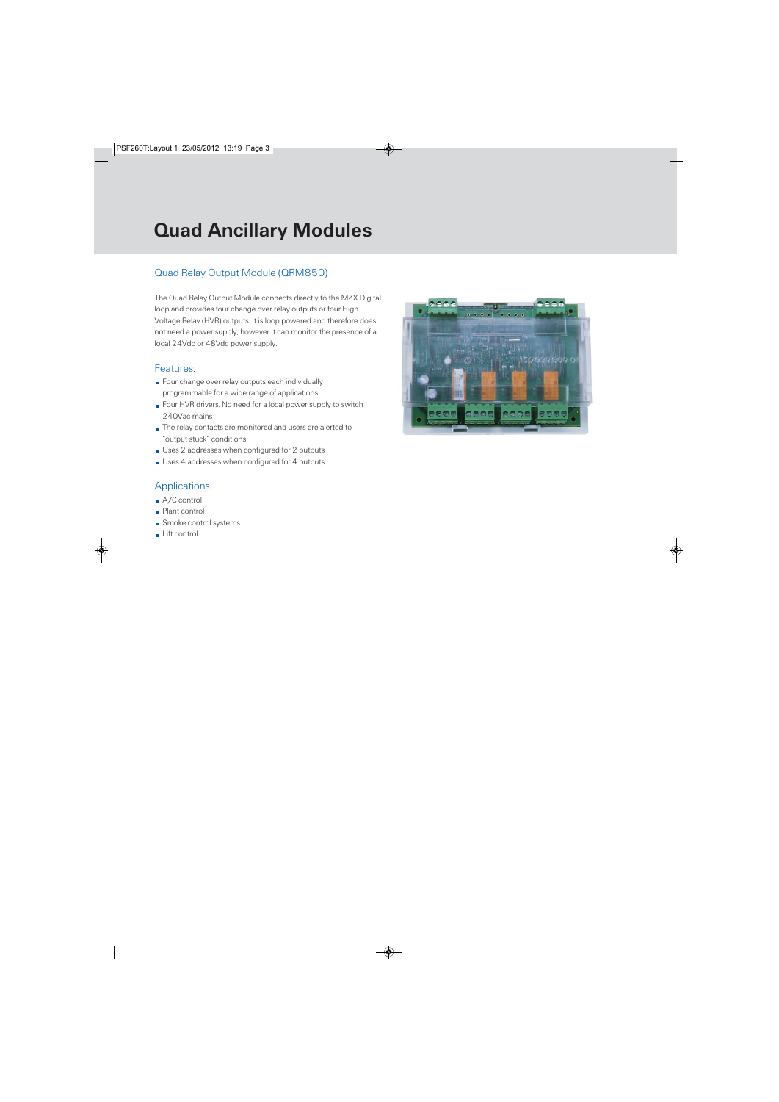# Quad Ancillary Modules

## Quad Relay Output Module (QRM850)

The Quad Relay Output Module connects directly to the MZX Digital loop and provides four change over relay outputs or four High Voltage Relay (HVR) outputs. It is loop powered and therefore does not need a power supply, however it can monitor the presence of a local 24Vdc or 48Vdc power supply.

#### Features:

- Four change over relay outputs each individually programmable for a wide range of applications
- Four HVR drivers. No need for a local power supply to switch 240Vac mains
- The relay contacts are monitored and users are alerted to "output stuck" conditions
- Uses 2 addresses when configured for 2 outputs
- Uses 4 addresses when configured for 4 outputs

### **Applications**

- A/C control
- **Plant control**
- **Smoke control systems**
- Lift control